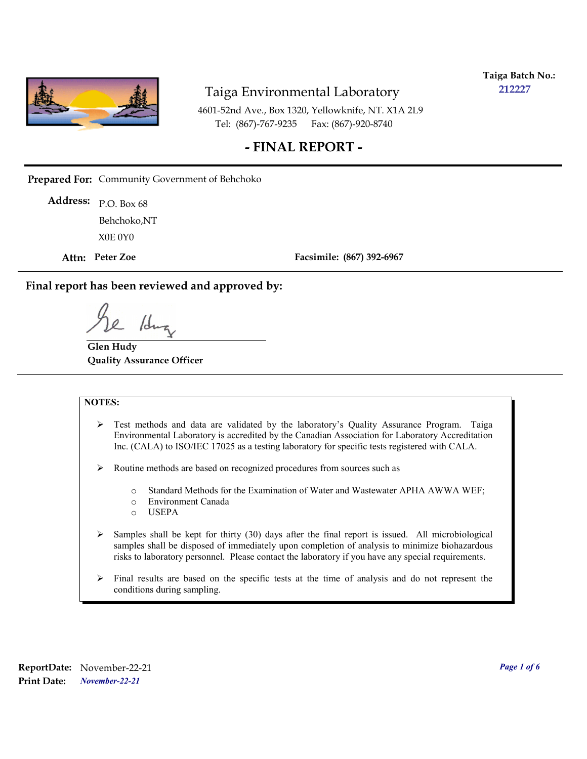

**Taiga Batch No.: 212227**

4601-52nd Ave., Box 1320, Yellowknife, NT. X1A 2L9 Tel: (867)-767-9235 Fax: (867)-920-8740

#### **- FINAL REPORT -**

**Prepared For:** Community Government of Behchoko

P.O. Box 68 **Address:** X0E 0Y0 Behchoko,NT

**Attn: Peter Zoe**

**Facsimile: (867) 392-6967**

**Final report has been reviewed and approved by:**

/dr

**Glen Hudy Quality Assurance Officer**

#### **NOTES:**

- $\triangleright$  Test methods and data are validated by the laboratory's Quality Assurance Program. Taiga Environmental Laboratory is accredited by the Canadian Association for Laboratory Accreditation Inc. (CALA) to ISO/IEC 17025 as a testing laboratory for specific tests registered with CALA.
- Routine methods are based on recognized procedures from sources such as
	- o Standard Methods for the Examination of Water and Wastewater APHA AWWA WEF;
	- o Environment Canada
	- o USEPA
- $\triangleright$  Samples shall be kept for thirty (30) days after the final report is issued. All microbiological samples shall be disposed of immediately upon completion of analysis to minimize biohazardous risks to laboratory personnel. Please contact the laboratory if you have any special requirements.
- $\triangleright$  Final results are based on the specific tests at the time of analysis and do not represent the conditions during sampling.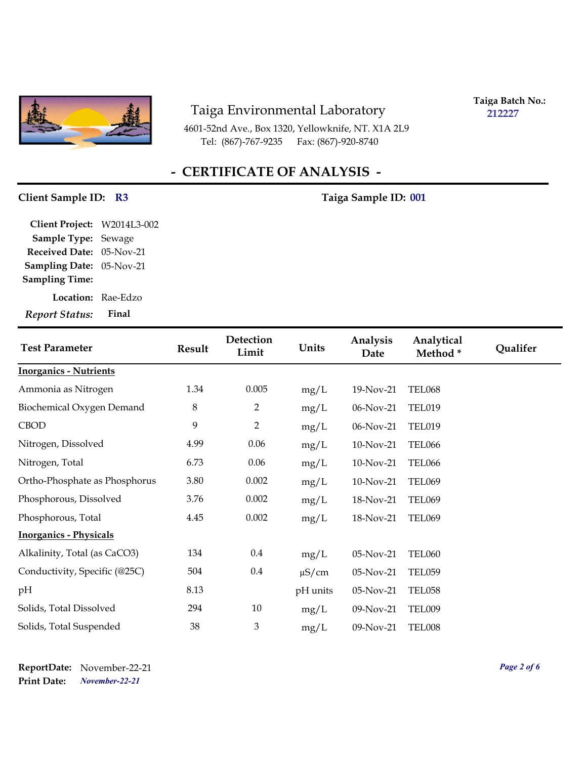

4601-52nd Ave., Box 1320, Yellowknife, NT. X1A 2L9 Tel: (867)-767-9235 Fax: (867)-920-8740

**Taiga Batch No.: 212227**

# **- CERTIFICATE OF ANALYSIS -**

#### Client Sample ID: R3 Taiga Sample ID: 001

| Client Project: W2014L3-002 |       |
|-----------------------------|-------|
| <b>Sample Type: Sewage</b>  |       |
| Received Date: 05-Nov-21    |       |
| Sampling Date: 05-Nov-21    |       |
| <b>Sampling Time:</b>       |       |
| Location: Rae-Edzo          |       |
| <b>Report Status:</b>       | Final |

| <b>Test Parameter</b>         | <b>Result</b> | Detection<br>Limit | Units      | Analysis<br>Date | Analytical<br>Method* | <b>Qualifer</b> |
|-------------------------------|---------------|--------------------|------------|------------------|-----------------------|-----------------|
| <b>Inorganics - Nutrients</b> |               |                    |            |                  |                       |                 |
| Ammonia as Nitrogen           | 1.34          | 0.005              | mg/L       | 19-Nov-21        | <b>TEL068</b>         |                 |
| Biochemical Oxygen Demand     | 8             | $\overline{2}$     | mg/L       | 06-Nov-21        | <b>TEL019</b>         |                 |
| <b>CBOD</b>                   | 9             | $\overline{2}$     | mg/L       | 06-Nov-21        | <b>TEL019</b>         |                 |
| Nitrogen, Dissolved           | 4.99          | 0.06               | mg/L       | 10-Nov-21        | <b>TEL066</b>         |                 |
| Nitrogen, Total               | 6.73          | 0.06               | mg/L       | 10-Nov-21        | <b>TEL066</b>         |                 |
| Ortho-Phosphate as Phosphorus | 3.80          | 0.002              | mg/L       | 10-Nov-21        | <b>TEL069</b>         |                 |
| Phosphorous, Dissolved        | 3.76          | 0.002              | mg/L       | 18-Nov-21        | <b>TEL069</b>         |                 |
| Phosphorous, Total            | 4.45          | 0.002              | mg/L       | 18-Nov-21        | <b>TEL069</b>         |                 |
| <b>Inorganics - Physicals</b> |               |                    |            |                  |                       |                 |
| Alkalinity, Total (as CaCO3)  | 134           | $0.4\,$            | mg/L       | 05-Nov-21        | <b>TEL060</b>         |                 |
| Conductivity, Specific (@25C) | 504           | $0.4\,$            | $\mu$ S/cm | 05-Nov-21        | <b>TEL059</b>         |                 |
| pH                            | 8.13          |                    | pH units   | 05-Nov-21        | <b>TEL058</b>         |                 |
| Solids, Total Dissolved       | 294           | 10                 | mg/L       | 09-Nov-21        | <b>TEL009</b>         |                 |
| Solids, Total Suspended       | 38            | 3                  | mg/L       | 09-Nov-21        | TEL008                |                 |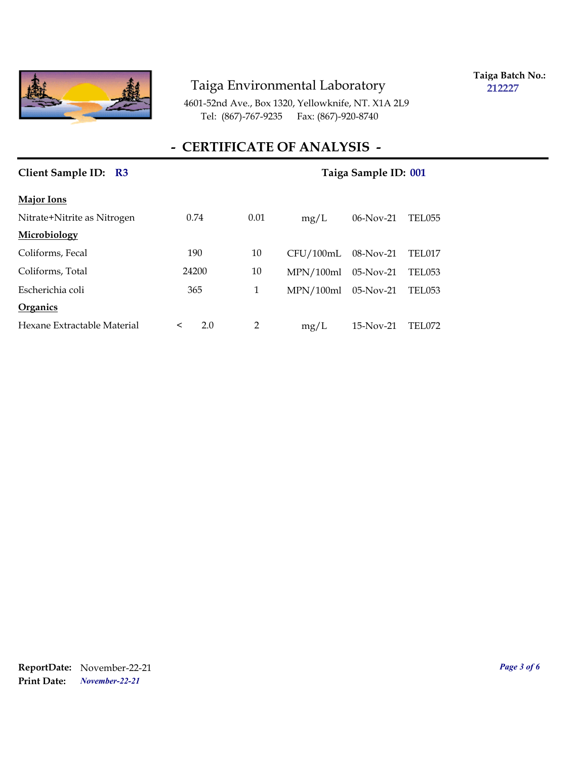

**Taiga Batch No.: 212227**

4601-52nd Ave., Box 1320, Yellowknife, NT. X1A 2L9 Tel: (867)-767-9235 Fax: (867)-920-8740

# **- CERTIFICATE OF ANALYSIS -**

| Client Sample ID: R3        | Taiga Sample ID: 001 |               |           |              |               |
|-----------------------------|----------------------|---------------|-----------|--------------|---------------|
| <b>Major Ions</b>           |                      |               |           |              |               |
| Nitrate+Nitrite as Nitrogen | 0.74                 | 0.01          | mg/L      | $06$ -Nov-21 | TEL055        |
| Microbiology                |                      |               |           |              |               |
| Coliforms, Fecal            | 190                  | 10            | CFU/100mL | $08-Nov-21$  | TEL017        |
| Coliforms, Total            | 24200                | 10            | MPN/100ml | $05-Nov-21$  | <b>TEL053</b> |
| Escherichia coli            | 365                  | 1             | MPN/100ml | $05-Nov-21$  | TEL053        |
| Organics                    |                      |               |           |              |               |
| Hexane Extractable Material | 2.0<br>$\prec$       | $\mathcal{P}$ | mg/L      | $15-Nov-21$  | <b>TEL072</b> |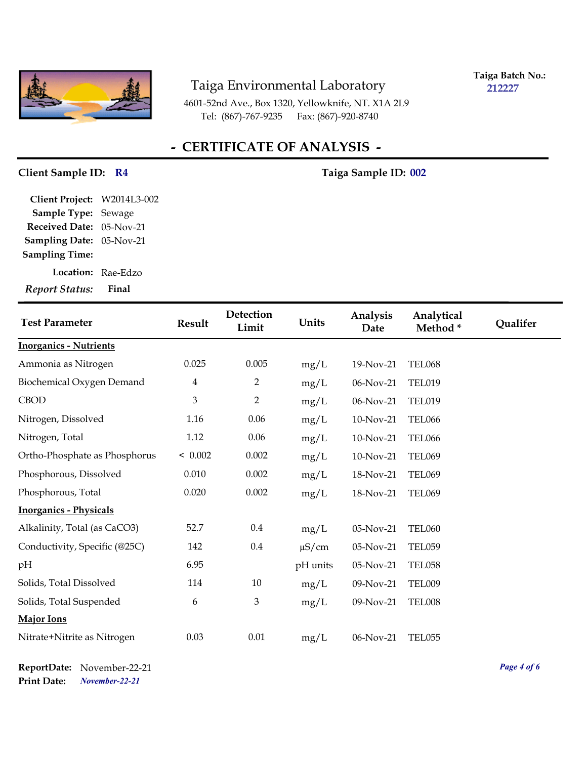

**Taiga Batch No.: 212227**

4601-52nd Ave., Box 1320, Yellowknife, NT. X1A 2L9 Tel: (867)-767-9235 Fax: (867)-920-8740

# **- CERTIFICATE OF ANALYSIS -**

#### Client Sample ID: R4 Taiga Sample ID: 002

| Client Project: W2014L3-002 |  |
|-----------------------------|--|
| Sample Type: Sewage         |  |
| Received Date: 05-Nov-21    |  |
| Sampling Date: 05-Nov-21    |  |
| <b>Sampling Time:</b>       |  |
| Location: Rae-Edzo          |  |

*Report Status:* **Final**

| <b>Test Parameter</b>         | <b>Result</b>               | Detection<br>Limit | Units      | Analysis<br>Date | Analytical<br>Method* | Qualifer |
|-------------------------------|-----------------------------|--------------------|------------|------------------|-----------------------|----------|
| <b>Inorganics - Nutrients</b> |                             |                    |            |                  |                       |          |
| Ammonia as Nitrogen           | 0.025                       | 0.005              | mg/L       | 19-Nov-21        | <b>TEL068</b>         |          |
| Biochemical Oxygen Demand     | 4                           | $\overline{2}$     | mg/L       | 06-Nov-21        | <b>TEL019</b>         |          |
| <b>CBOD</b>                   | $\ensuremath{\mathfrak{Z}}$ | $\overline{2}$     | mg/L       | 06-Nov-21        | <b>TEL019</b>         |          |
| Nitrogen, Dissolved           | 1.16                        | 0.06               | mg/L       | 10-Nov-21        | <b>TEL066</b>         |          |
| Nitrogen, Total               | 1.12                        | 0.06               | mg/L       | 10-Nov-21        | <b>TEL066</b>         |          |
| Ortho-Phosphate as Phosphorus | < 0.002                     | 0.002              | mg/L       | 10-Nov-21        | <b>TEL069</b>         |          |
| Phosphorous, Dissolved        | 0.010                       | 0.002              | mg/L       | 18-Nov-21        | <b>TEL069</b>         |          |
| Phosphorous, Total            | 0.020                       | 0.002              | mg/L       | 18-Nov-21        | <b>TEL069</b>         |          |
| <b>Inorganics - Physicals</b> |                             |                    |            |                  |                       |          |
| Alkalinity, Total (as CaCO3)  | 52.7                        | 0.4                | mg/L       | 05-Nov-21        | <b>TEL060</b>         |          |
| Conductivity, Specific (@25C) | 142                         | 0.4                | $\mu$ S/cm | 05-Nov-21        | <b>TEL059</b>         |          |
| pН                            | 6.95                        |                    | pH units   | 05-Nov-21        | <b>TEL058</b>         |          |
| Solids, Total Dissolved       | 114                         | 10                 | mg/L       | 09-Nov-21        | TEL009                |          |
| Solids, Total Suspended       | 6                           | 3                  | mg/L       | 09-Nov-21        | TEL008                |          |
| <b>Major Ions</b>             |                             |                    |            |                  |                       |          |
| Nitrate+Nitrite as Nitrogen   | 0.03                        | 0.01               | mg/L       | 06-Nov-21        | <b>TEL055</b>         |          |

*November-22-21* **Print Date: ReportDate:** November-22-21 *Page 4 of 6*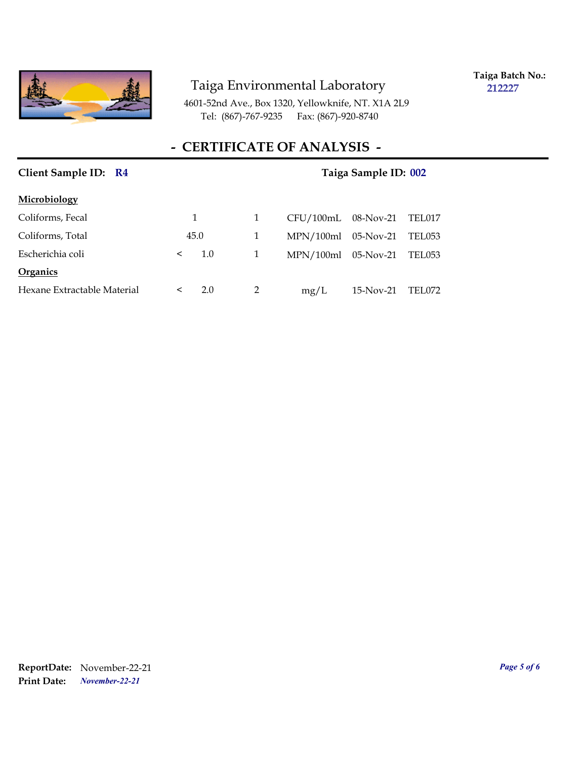

**Taiga Batch No.: 212227**

4601-52nd Ave., Box 1320, Yellowknife, NT. X1A 2L9 Tel: (867)-767-9235 Fax: (867)-920-8740

# **- CERTIFICATE OF ANALYSIS -**

| Client Sample ID: R4        | Taiga Sample ID: 002 |     |   |           |           |               |  |
|-----------------------------|----------------------|-----|---|-----------|-----------|---------------|--|
| Microbiology                |                      |     |   |           |           |               |  |
| Coliforms, Fecal            | 1                    |     | 1 | CFU/100mL | 08-Nov-21 | TEL017        |  |
| Coliforms, Total            | 45.0                 |     | 1 | MPN/100ml | 05-Nov-21 | TEL053        |  |
| Escherichia coli            | $\,<\,$              | 1.0 | 1 | MPN/100ml | 05-Nov-21 | TEL053        |  |
| Organics                    |                      |     |   |           |           |               |  |
| Hexane Extractable Material | $\,<\,$              | 2.0 | 2 | mg/L      | 15-Nov-21 | <b>TEL072</b> |  |